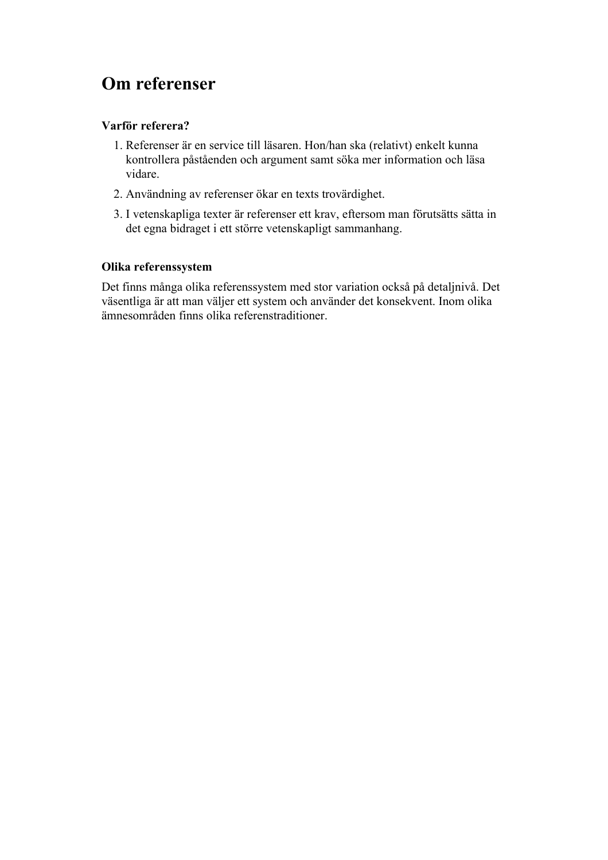# **Om referenser**

### **Varför referera?**

- 1. Referenser är en service till läsaren. Hon/han ska (relativt) enkelt kunna kontrollera påståenden och argument samt söka mer information och läsa vidare.
- 2. Användning av referenser ökar en texts trovärdighet.
- 3. I vetenskapliga texter är referenser ett krav, eftersom man förutsätts sätta in det egna bidraget i ett större vetenskapligt sammanhang.

### **Olika referenssystem**

Det finns många olika referenssystem med stor variation också på detaljnivå. Det väsentliga är att man väljer ett system och använder det konsekvent. Inom olika ämnesområden finns olika referenstraditioner.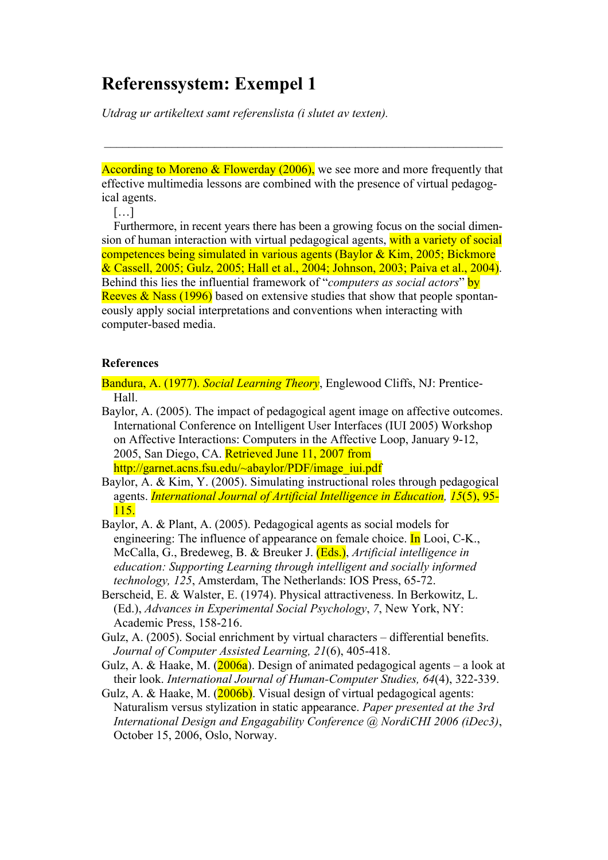*Utdrag ur artikeltext samt referenslista (i slutet av texten).*

According to Moreno & Flowerday (2006), we see more and more frequently that effective multimedia lessons are combined with the presence of virtual pedagogical agents.

[…]

Furthermore, in recent years there has been a growing focus on the social dimension of human interaction with virtual pedagogical agents, with a variety of social competences being simulated in various agents (Baylor & Kim, 2005; Bickmore & Cassell, 2005; Gulz, 2005; Hall et al., 2004; Johnson, 2003; Paiva et al., 2004). Behind this lies the influential framework of "*computers as social actors*" by Reeves  $\&$  Nass (1996) based on extensive studies that show that people spontaneously apply social interpretations and conventions when interacting with computer-based media.

#### **References**

Bandura, A. (1977). *Social Learning Theory*, Englewood Cliffs, NJ: Prentice-Hall.

- Baylor, A. (2005). The impact of pedagogical agent image on affective outcomes. International Conference on Intelligent User Interfaces (IUI 2005) Workshop on Affective Interactions: Computers in the Affective Loop, January 9-12, 2005, San Diego, CA. Retrieved June 11, 2007 from http://garnet.acns.fsu.edu/~abaylor/PDF/image\_iui.pdf
- Baylor, A. & Kim, Y. (2005). Simulating instructional roles through pedagogical agents. *International Journal of Artificial Intelligence in Education, 15*(5), 95- 115.
- Baylor, A. & Plant, A. (2005). Pedagogical agents as social models for engineering: The influence of appearance on female choice. In Looi, C-K., McCalla, G., Bredeweg, B. & Breuker J. (Eds.), *Artificial intelligence in education: Supporting Learning through intelligent and socially informed technology, 125*, Amsterdam, The Netherlands: IOS Press, 65-72.
- Berscheid, E. & Walster, E. (1974). Physical attractiveness. In Berkowitz, L. (Ed.), *Advances in Experimental Social Psychology*, *7*, New York, NY: Academic Press, 158-216.
- Gulz, A. (2005). Social enrichment by virtual characters differential benefits. *Journal of Computer Assisted Learning, 21*(6), 405-418.
- Gulz, A. & Haake, M. ( $\frac{2006a}{a}$ ). Design of animated pedagogical agents a look at their look. *International Journal of Human-Computer Studies, 64*(4), 322-339.
- Gulz, A. & Haake, M. (2006b). Visual design of virtual pedagogical agents: Naturalism versus stylization in static appearance. *Paper presented at the 3rd International Design and Engagability Conference @ NordiCHI 2006 (iDec3)*, October 15, 2006, Oslo, Norway.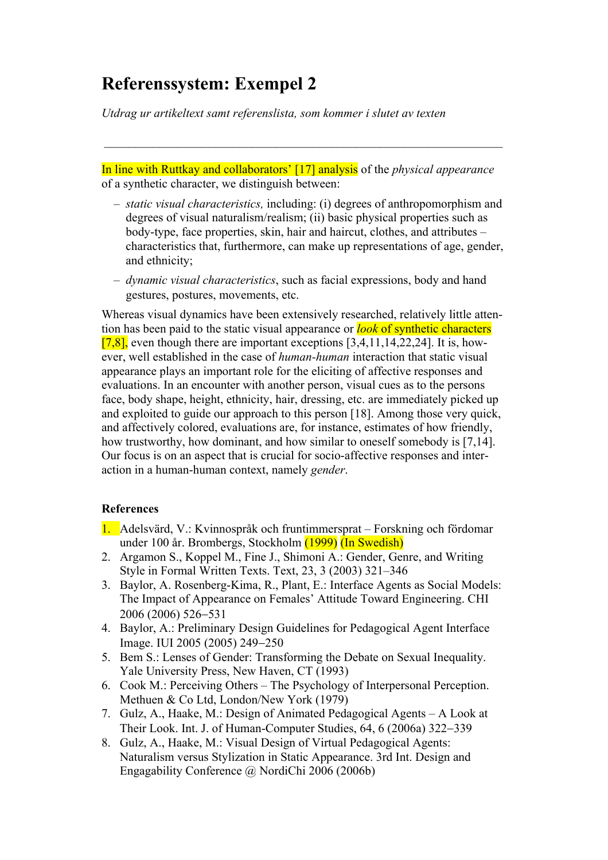*Utdrag ur artikeltext samt referenslista, som kommer i slutet av texten*

In line with Ruttkay and collaborators' [17] analysis of the *physical appearance* of a synthetic character, we distinguish between:

- *static visual characteristics,* including: (i) degrees of anthropomorphism and degrees of visual naturalism/realism; (ii) basic physical properties such as body-type, face properties, skin, hair and haircut, clothes, and attributes – characteristics that, furthermore, can make up representations of age, gender, and ethnicity;
- *dynamic visual characteristics*, such as facial expressions, body and hand gestures, postures, movements, etc.

Whereas visual dynamics have been extensively researched, relatively little attention has been paid to the static visual appearance or *look* of synthetic characters  $[7,8]$ , even though there are important exceptions  $[3,4,11,14,22,24]$ . It is, however, well established in the case of *human-human* interaction that static visual appearance plays an important role for the eliciting of affective responses and evaluations. In an encounter with another person, visual cues as to the persons face, body shape, height, ethnicity, hair, dressing, etc. are immediately picked up and exploited to guide our approach to this person [18]. Among those very quick, and affectively colored, evaluations are, for instance, estimates of how friendly, how trustworthy, how dominant, and how similar to oneself somebody is [7,14]. Our focus is on an aspect that is crucial for socio-affective responses and interaction in a human-human context, namely *gender*.

#### **References**

- 1. Adelsvärd, V.: Kvinnospråk och fruntimmersprat Forskning och fördomar under 100 år. Brombergs, Stockholm (1999) (In Swedish)
- 2. Argamon S., Koppel M., Fine J., Shimoni A.: Gender, Genre, and Writing Style in Formal Written Texts. Text, 23, 3 (2003) 321–346
- 3. Baylor, A. Rosenberg-Kima, R., Plant, E.: Interface Agents as Social Models: The Impact of Appearance on Females' Attitude Toward Engineering. CHI 2006 (2006) 526-531
- 4. Baylor, A.: Preliminary Design Guidelines for Pedagogical Agent Interface Image. IUI 2005 (2005) 249-250
- 5. Bem S.: Lenses of Gender: Transforming the Debate on Sexual Inequality. Yale University Press, New Haven, CT (1993)
- 6. Cook M.: Perceiving Others The Psychology of Interpersonal Perception. Methuen & Co Ltd, London/New York (1979)
- 7. Gulz, A., Haake, M.: Design of Animated Pedagogical Agents A Look at Their Look. Int. J. of Human-Computer Studies, 64, 6 (2006a) 322-339
- 8. Gulz, A., Haake, M.: Visual Design of Virtual Pedagogical Agents: Naturalism versus Stylization in Static Appearance. 3rd Int. Design and Engagability Conference @ NordiChi 2006 (2006b)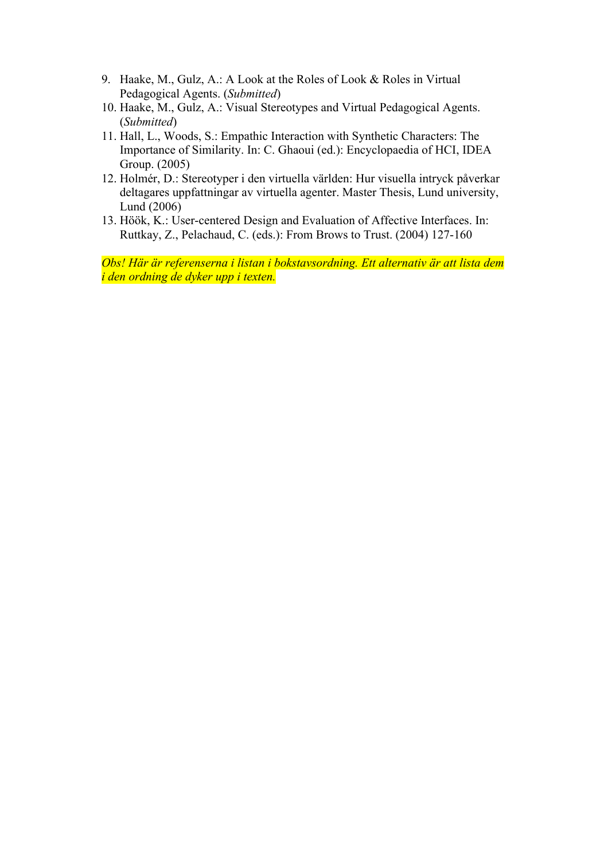- 9. Haake, M., Gulz, A.: A Look at the Roles of Look & Roles in Virtual Pedagogical Agents. (*Submitted*)
- 10. Haake, M., Gulz, A.: Visual Stereotypes and Virtual Pedagogical Agents. (*Submitted*)
- 11. Hall, L., Woods, S.: Empathic Interaction with Synthetic Characters: The Importance of Similarity. In: C. Ghaoui (ed.): Encyclopaedia of HCI, IDEA Group. (2005)
- 12. Holmér, D.: Stereotyper i den virtuella världen: Hur visuella intryck påverkar deltagares uppfattningar av virtuella agenter. Master Thesis, Lund university, Lund (2006)
- 13. Höök, K.: User-centered Design and Evaluation of Affective Interfaces. In: Ruttkay, Z., Pelachaud, C. (eds.): From Brows to Trust. (2004) 127-160

*Obs! Här är referenserna i listan i bokstavsordning. Ett alternativ är att lista dem i den ordning de dyker upp i texten.*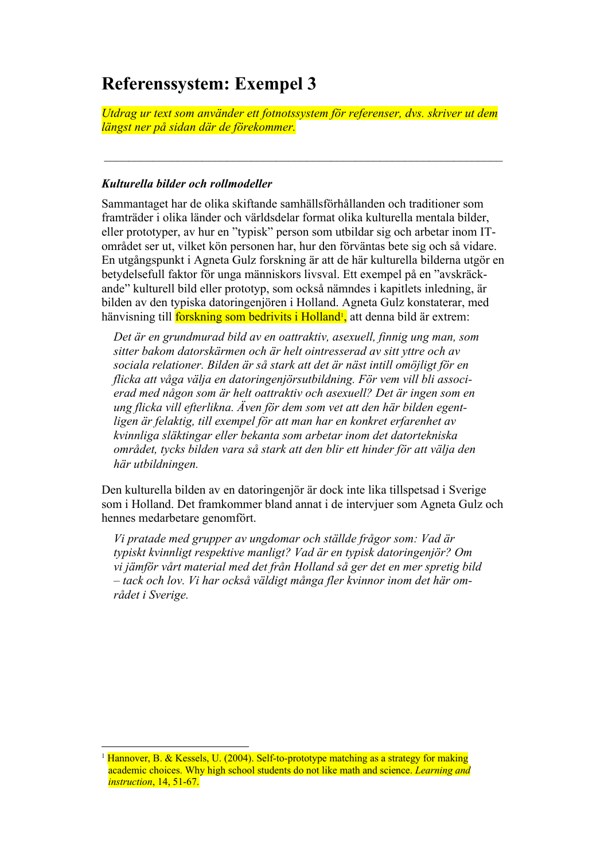*Utdrag ur text som använder ett fotnotssystem för referenser, dvs. skriver ut dem längst ner på sidan där de förekommer.*

#### *Kulturella bilder och rollmodeller*

Sammantaget har de olika skiftande samhällsförhållanden och traditioner som framträder i olika länder och världsdelar format olika kulturella mentala bilder, eller prototyper, av hur en "typisk" person som utbildar sig och arbetar inom ITområdet ser ut, vilket kön personen har, hur den förväntas bete sig och så vidare. En utgångspunkt i Agneta Gulz forskning är att de här kulturella bilderna utgör en betydelsefull faktor för unga människors livsval. Ett exempel på en "avskräckande" kulturell bild eller prototyp, som också nämndes i kapitlets inledning, är bilden av den typiska datoringenjören i Holland. Agneta Gulz konstaterar, med hänvisning till <mark>forskning som bedrivits i Holland<sup>1</sup>,</mark> att denna bild är extrem:

*Det är en grundmurad bild av en oattraktiv, asexuell, finnig ung man, som sitter bakom datorskärmen och är helt ointresserad av sitt yttre och av sociala relationer. Bilden är så stark att det är näst intill omöjligt för en flicka att våga välja en datoringenjörsutbildning. För vem vill bli associerad med någon som är helt oattraktiv och asexuell? Det är ingen som en ung flicka vill efterlikna. Även för dem som vet att den här bilden egentligen är felaktig, till exempel för att man har en konkret erfarenhet av kvinnliga släktingar eller bekanta som arbetar inom det datortekniska området, tycks bilden vara så stark att den blir ett hinder för att välja den här utbildningen.*

Den kulturella bilden av en datoringenjör är dock inte lika tillspetsad i Sverige som i Holland. Det framkommer bland annat i de intervjuer som Agneta Gulz och hennes medarbetare genomfört.

*Vi pratade med grupper av ungdomar och ställde frågor som: Vad är typiskt kvinnligt respektive manligt? Vad är en typisk datoringenjör? Om vi jämför vårt material med det från Holland så ger det en mer spretig bild – tack och lov. Vi har också väldigt många fler kvinnor inom det här området i Sverige.*

<sup>&</sup>lt;sup>1</sup> Hannover, B. & Kessels, U. (2004). Self-to-prototype matching as a strategy for making academic choices. Why high school students do not like math and science. *Learning and instruction*, 14, 51-67.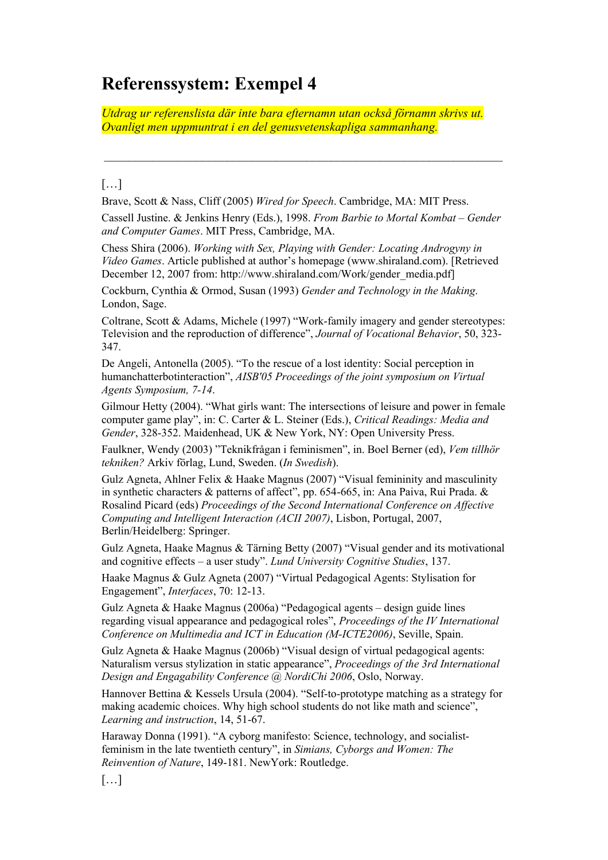*Utdrag ur referenslista där inte bara efternamn utan också förnamn skrivs ut. Ovanligt men uppmuntrat i en del genusvetenskapliga sammanhang.*

### […]

Brave, Scott & Nass, Cliff (2005) *Wired for Speech*. Cambridge, MA: MIT Press.

Cassell Justine. & Jenkins Henry (Eds.), 1998. *From Barbie to Mortal Kombat – Gender and Computer Games*. MIT Press, Cambridge, MA.

Chess Shira (2006). *Working with Sex, Playing with Gender: Locating Androgyny in Video Games*. Article published at author's homepage (www.shiraland.com). [Retrieved December 12, 2007 from: http://www.shiraland.com/Work/gender\_media.pdf]

Cockburn, Cynthia & Ormod, Susan (1993) *Gender and Technology in the Making*. London, Sage.

Coltrane, Scott & Adams, Michele (1997) "Work-family imagery and gender stereotypes: Television and the reproduction of difference", *Journal of Vocational Behavior*, 50, 323- 347.

De Angeli, Antonella (2005). "To the rescue of a lost identity: Social perception in humanchatterbotinteraction", *AISB'05 Proceedings of the joint symposium on Virtual Agents Symposium, 7-14*.

Gilmour Hetty (2004). "What girls want: The intersections of leisure and power in female computer game play", in: C. Carter & L. Steiner (Eds.), *Critical Readings: Media and Gender*, 328-352. Maidenhead, UK & New York, NY: Open University Press.

Faulkner, Wendy (2003) "Teknikfrågan i feminismen", in. Boel Berner (ed), *Vem tillhör tekniken?* Arkiv förlag, Lund, Sweden. (*In Swedish*).

Gulz Agneta, Ahlner Felix & Haake Magnus (2007) "Visual femininity and masculinity in synthetic characters & patterns of affect", pp. 654-665, in: Ana Paiva, Rui Prada. & Rosalind Picard (eds) *Proceedings of the Second International Conference on Affective Computing and Intelligent Interaction (ACII 2007)*, Lisbon, Portugal, 2007, Berlin/Heidelberg: Springer.

Gulz Agneta, Haake Magnus & Tärning Betty (2007) "Visual gender and its motivational and cognitive effects – a user study". *Lund University Cognitive Studies*, 137.

Haake Magnus & Gulz Agneta (2007) "Virtual Pedagogical Agents: Stylisation for Engagement", *Interfaces*, 70: 12-13.

Gulz Agneta & Haake Magnus (2006a) "Pedagogical agents – design guide lines regarding visual appearance and pedagogical roles", *Proceedings of the IV International Conference on Multimedia and ICT in Education (M-ICTE2006)*, Seville, Spain.

Gulz Agneta & Haake Magnus (2006b) "Visual design of virtual pedagogical agents: Naturalism versus stylization in static appearance", *Proceedings of the 3rd International Design and Engagability Conference @ NordiChi 2006*, Oslo, Norway.

Hannover Bettina & Kessels Ursula (2004). "Self-to-prototype matching as a strategy for making academic choices. Why high school students do not like math and science", *Learning and instruction*, 14, 51-67.

Haraway Donna (1991). "A cyborg manifesto: Science, technology, and socialistfeminism in the late twentieth century", in *Simians, Cyborgs and Women: The Reinvention of Nature*, 149-181. NewYork: Routledge.

[…]